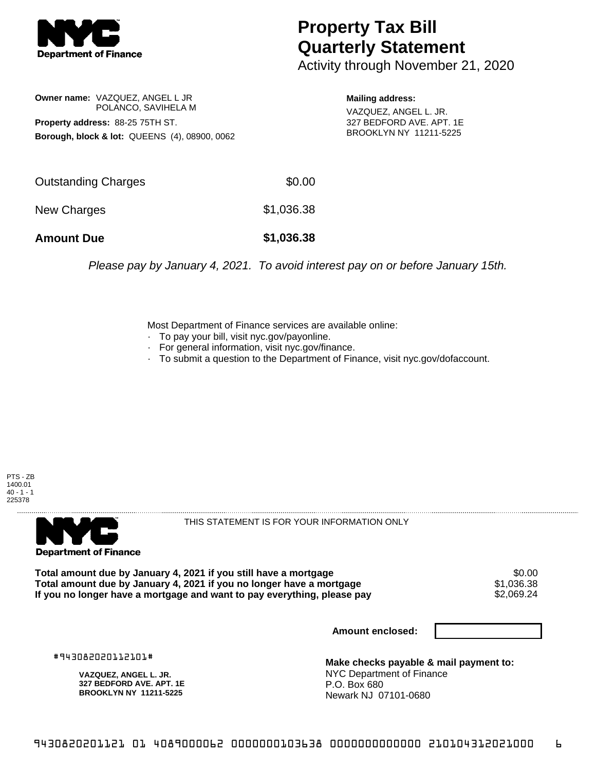

## **Property Tax Bill Quarterly Statement**

Activity through November 21, 2020

**Owner name:** VAZQUEZ, ANGEL L JR POLANCO, SAVIHELA M **Property address:** 88-25 75TH ST. **Borough, block & lot:** QUEENS (4), 08900, 0062

**Mailing address:** VAZQUEZ, ANGEL L. JR. 327 BEDFORD AVE. APT. 1E BROOKLYN NY 11211-5225

| <b>Amount Due</b>   | \$1,036.38 |
|---------------------|------------|
| New Charges         | \$1,036.38 |
| Outstanding Charges | \$0.00     |

Please pay by January 4, 2021. To avoid interest pay on or before January 15th.

Most Department of Finance services are available online:

- · To pay your bill, visit nyc.gov/payonline.
- For general information, visit nyc.gov/finance.
- · To submit a question to the Department of Finance, visit nyc.gov/dofaccount.





THIS STATEMENT IS FOR YOUR INFORMATION ONLY

Total amount due by January 4, 2021 if you still have a mortgage \$0.00<br>Total amount due by January 4, 2021 if you no longer have a mortgage \$1.036.38 **Total amount due by January 4, 2021 if you no longer have a mortgage**  $$1,036.38$ **<br>If you no longer have a mortgage and want to pay everything, please pay**  $$2,069.24$ If you no longer have a mortgage and want to pay everything, please pay

**Amount enclosed:**

#943082020112101#

**VAZQUEZ, ANGEL L. JR. 327 BEDFORD AVE. APT. 1E BROOKLYN NY 11211-5225**

**Make checks payable & mail payment to:** NYC Department of Finance P.O. Box 680 Newark NJ 07101-0680